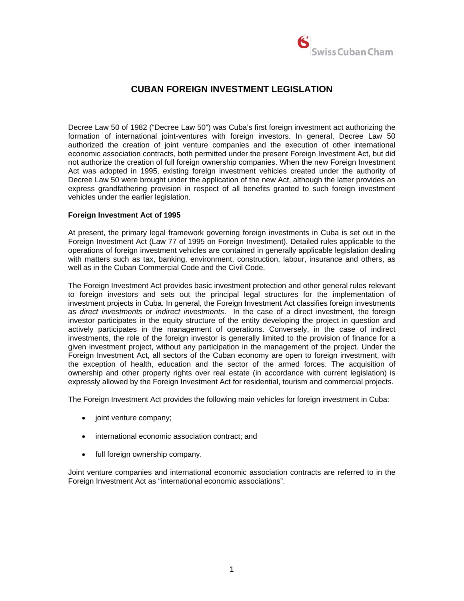

## **CUBAN FOREIGN INVESTMENT LEGISLATION**

Decree Law 50 of 1982 ("Decree Law 50") was Cuba's first foreign investment act authorizing the formation of international joint-ventures with foreign investors. In general, Decree Law 50 authorized the creation of joint venture companies and the execution of other international economic association contracts, both permitted under the present Foreign Investment Act, but did not authorize the creation of full foreign ownership companies. When the new Foreign Investment Act was adopted in 1995, existing foreign investment vehicles created under the authority of Decree Law 50 were brought under the application of the new Act, although the latter provides an express grandfathering provision in respect of all benefits granted to such foreign investment vehicles under the earlier legislation.

## **Foreign Investment Act of 1995**

At present, the primary legal framework governing foreign investments in Cuba is set out in the Foreign Investment Act (Law 77 of 1995 on Foreign Investment). Detailed rules applicable to the operations of foreign investment vehicles are contained in generally applicable legislation dealing with matters such as tax, banking, environment, construction, labour, insurance and others, as well as in the Cuban Commercial Code and the Civil Code.

The Foreign Investment Act provides basic investment protection and other general rules relevant to foreign investors and sets out the principal legal structures for the implementation of investment projects in Cuba. In general, the Foreign Investment Act classifies foreign investments as *direct investments* or *indirect investments*. In the case of a direct investment, the foreign investor participates in the equity structure of the entity developing the project in question and actively participates in the management of operations. Conversely, in the case of indirect investments, the role of the foreign investor is generally limited to the provision of finance for a given investment project, without any participation in the management of the project. Under the Foreign Investment Act, all sectors of the Cuban economy are open to foreign investment, with the exception of health, education and the sector of the armed forces. The acquisition of ownership and other property rights over real estate (in accordance with current legislation) is expressly allowed by the Foreign Investment Act for residential, tourism and commercial projects.

The Foreign Investment Act provides the following main vehicles for foreign investment in Cuba:

- joint venture company;
- international economic association contract; and
- full foreign ownership company.

Joint venture companies and international economic association contracts are referred to in the Foreign Investment Act as "international economic associations".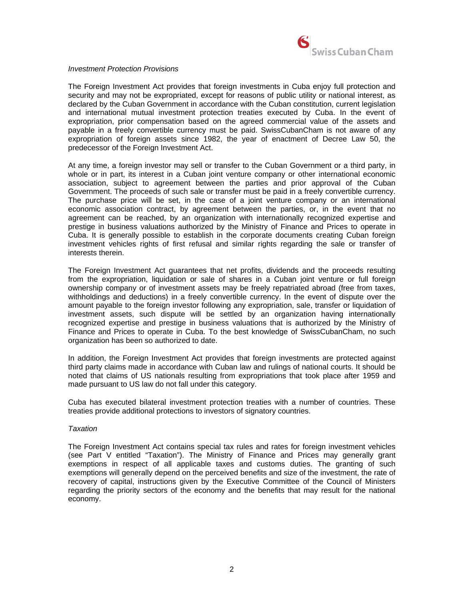

#### *Investment Protection Provisions*

The Foreign Investment Act provides that foreign investments in Cuba enjoy full protection and security and may not be expropriated, except for reasons of public utility or national interest, as declared by the Cuban Government in accordance with the Cuban constitution, current legislation and international mutual investment protection treaties executed by Cuba. In the event of expropriation, prior compensation based on the agreed commercial value of the assets and payable in a freely convertible currency must be paid. SwissCubanCham is not aware of any expropriation of foreign assets since 1982, the year of enactment of Decree Law 50, the predecessor of the Foreign Investment Act.

At any time, a foreign investor may sell or transfer to the Cuban Government or a third party, in whole or in part, its interest in a Cuban joint venture company or other international economic association, subject to agreement between the parties and prior approval of the Cuban Government. The proceeds of such sale or transfer must be paid in a freely convertible currency. The purchase price will be set, in the case of a joint venture company or an international economic association contract, by agreement between the parties, or, in the event that no agreement can be reached, by an organization with internationally recognized expertise and prestige in business valuations authorized by the Ministry of Finance and Prices to operate in Cuba. It is generally possible to establish in the corporate documents creating Cuban foreign investment vehicles rights of first refusal and similar rights regarding the sale or transfer of interests therein.

The Foreign Investment Act guarantees that net profits, dividends and the proceeds resulting from the expropriation, liquidation or sale of shares in a Cuban joint venture or full foreign ownership company or of investment assets may be freely repatriated abroad (free from taxes, withholdings and deductions) in a freely convertible currency. In the event of dispute over the amount payable to the foreign investor following any expropriation, sale, transfer or liquidation of investment assets, such dispute will be settled by an organization having internationally recognized expertise and prestige in business valuations that is authorized by the Ministry of Finance and Prices to operate in Cuba. To the best knowledge of SwissCubanCham, no such organization has been so authorized to date.

In addition, the Foreign Investment Act provides that foreign investments are protected against third party claims made in accordance with Cuban law and rulings of national courts. It should be noted that claims of US nationals resulting from expropriations that took place after 1959 and made pursuant to US law do not fall under this category.

Cuba has executed bilateral investment protection treaties with a number of countries. These treaties provide additional protections to investors of signatory countries.

#### *Taxation*

The Foreign Investment Act contains special tax rules and rates for foreign investment vehicles (see Part V entitled "Taxation"). The Ministry of Finance and Prices may generally grant exemptions in respect of all applicable taxes and customs duties. The granting of such exemptions will generally depend on the perceived benefits and size of the investment, the rate of recovery of capital, instructions given by the Executive Committee of the Council of Ministers regarding the priority sectors of the economy and the benefits that may result for the national economy.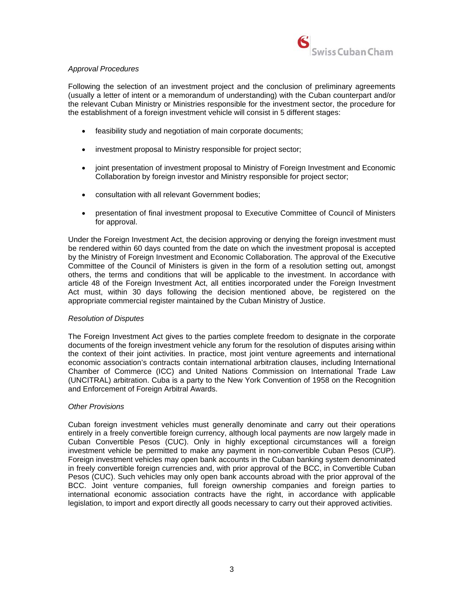

## *Approval Procedures*

Following the selection of an investment project and the conclusion of preliminary agreements (usually a letter of intent or a memorandum of understanding) with the Cuban counterpart and/or the relevant Cuban Ministry or Ministries responsible for the investment sector, the procedure for the establishment of a foreign investment vehicle will consist in 5 different stages:

- feasibility study and negotiation of main corporate documents;
- investment proposal to Ministry responsible for project sector;
- joint presentation of investment proposal to Ministry of Foreign Investment and Economic Collaboration by foreign investor and Ministry responsible for project sector;
- consultation with all relevant Government bodies;
- presentation of final investment proposal to Executive Committee of Council of Ministers for approval.

Under the Foreign Investment Act, the decision approving or denying the foreign investment must be rendered within 60 days counted from the date on which the investment proposal is accepted by the Ministry of Foreign Investment and Economic Collaboration. The approval of the Executive Committee of the Council of Ministers is given in the form of a resolution setting out, amongst others, the terms and conditions that will be applicable to the investment. In accordance with article 48 of the Foreign Investment Act, all entities incorporated under the Foreign Investment Act must, within 30 days following the decision mentioned above, be registered on the appropriate commercial register maintained by the Cuban Ministry of Justice.

## *Resolution of Disputes*

The Foreign Investment Act gives to the parties complete freedom to designate in the corporate documents of the foreign investment vehicle any forum for the resolution of disputes arising within the context of their joint activities. In practice, most joint venture agreements and international economic association's contracts contain international arbitration clauses, including International Chamber of Commerce (ICC) and United Nations Commission on International Trade Law (UNCITRAL) arbitration. Cuba is a party to the New York Convention of 1958 on the Recognition and Enforcement of Foreign Arbitral Awards.

## *Other Provisions*

Cuban foreign investment vehicles must generally denominate and carry out their operations entirely in a freely convertible foreign currency, although local payments are now largely made in Cuban Convertible Pesos (CUC). Only in highly exceptional circumstances will a foreign investment vehicle be permitted to make any payment in non-convertible Cuban Pesos (CUP). Foreign investment vehicles may open bank accounts in the Cuban banking system denominated in freely convertible foreign currencies and, with prior approval of the BCC, in Convertible Cuban Pesos (CUC). Such vehicles may only open bank accounts abroad with the prior approval of the BCC. Joint venture companies, full foreign ownership companies and foreign parties to international economic association contracts have the right, in accordance with applicable legislation, to import and export directly all goods necessary to carry out their approved activities.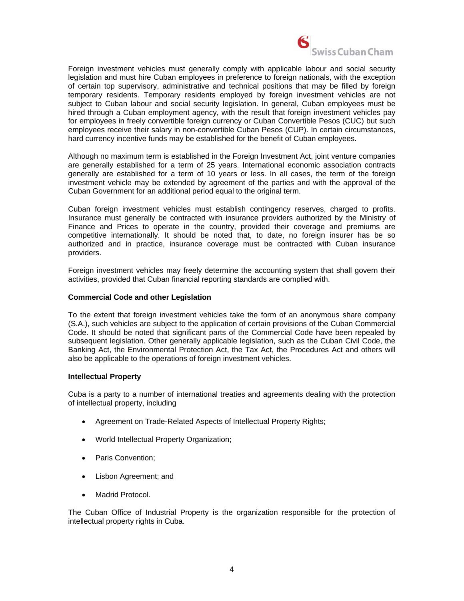

Foreign investment vehicles must generally comply with applicable labour and social security legislation and must hire Cuban employees in preference to foreign nationals, with the exception of certain top supervisory, administrative and technical positions that may be filled by foreign temporary residents. Temporary residents employed by foreign investment vehicles are not subject to Cuban labour and social security legislation. In general, Cuban employees must be hired through a Cuban employment agency, with the result that foreign investment vehicles pay for employees in freely convertible foreign currency or Cuban Convertible Pesos (CUC) but such employees receive their salary in non-convertible Cuban Pesos (CUP). In certain circumstances, hard currency incentive funds may be established for the benefit of Cuban employees.

Although no maximum term is established in the Foreign Investment Act, joint venture companies are generally established for a term of 25 years. International economic association contracts generally are established for a term of 10 years or less. In all cases, the term of the foreign investment vehicle may be extended by agreement of the parties and with the approval of the Cuban Government for an additional period equal to the original term.

Cuban foreign investment vehicles must establish contingency reserves, charged to profits. Insurance must generally be contracted with insurance providers authorized by the Ministry of Finance and Prices to operate in the country, provided their coverage and premiums are competitive internationally. It should be noted that, to date, no foreign insurer has be so authorized and in practice, insurance coverage must be contracted with Cuban insurance providers.

Foreign investment vehicles may freely determine the accounting system that shall govern their activities, provided that Cuban financial reporting standards are complied with.

## **Commercial Code and other Legislation**

To the extent that foreign investment vehicles take the form of an anonymous share company (S.A.), such vehicles are subject to the application of certain provisions of the Cuban Commercial Code. It should be noted that significant parts of the Commercial Code have been repealed by subsequent legislation. Other generally applicable legislation, such as the Cuban Civil Code, the Banking Act, the Environmental Protection Act, the Tax Act, the Procedures Act and others will also be applicable to the operations of foreign investment vehicles.

## **Intellectual Property**

Cuba is a party to a number of international treaties and agreements dealing with the protection of intellectual property, including

- Agreement on Trade-Related Aspects of Intellectual Property Rights;
- World Intellectual Property Organization;
- Paris Convention;
- Lisbon Agreement; and
- Madrid Protocol.

The Cuban Office of Industrial Property is the organization responsible for the protection of intellectual property rights in Cuba.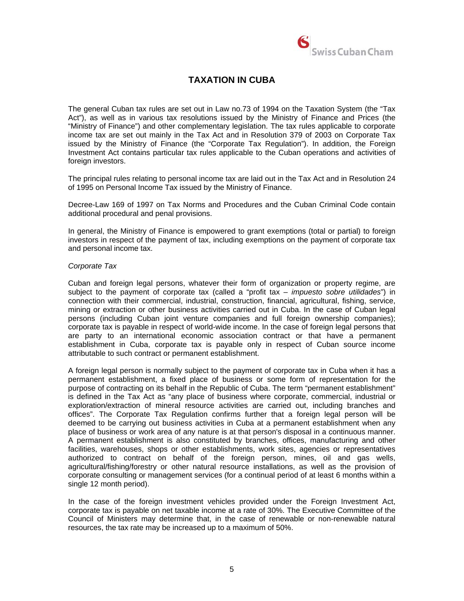

# **TAXATION IN CUBA**

The general Cuban tax rules are set out in Law no.73 of 1994 on the Taxation System (the "Tax Act"), as well as in various tax resolutions issued by the Ministry of Finance and Prices (the "Ministry of Finance") and other complementary legislation. The tax rules applicable to corporate income tax are set out mainly in the Tax Act and in Resolution 379 of 2003 on Corporate Tax issued by the Ministry of Finance (the "Corporate Tax Regulation"). In addition, the Foreign Investment Act contains particular tax rules applicable to the Cuban operations and activities of foreign investors.

The principal rules relating to personal income tax are laid out in the Tax Act and in Resolution 24 of 1995 on Personal Income Tax issued by the Ministry of Finance.

Decree-Law 169 of 1997 on Tax Norms and Procedures and the Cuban Criminal Code contain additional procedural and penal provisions.

In general, the Ministry of Finance is empowered to grant exemptions (total or partial) to foreign investors in respect of the payment of tax, including exemptions on the payment of corporate tax and personal income tax.

#### *Corporate Tax*

Cuban and foreign legal persons, whatever their form of organization or property regime, are subject to the payment of corporate tax (called a "profit tax – *impuesto sobre utilidades*") in connection with their commercial, industrial, construction, financial, agricultural, fishing, service, mining or extraction or other business activities carried out in Cuba. In the case of Cuban legal persons (including Cuban joint venture companies and full foreign ownership companies); corporate tax is payable in respect of world-wide income. In the case of foreign legal persons that are party to an international economic association contract or that have a permanent establishment in Cuba, corporate tax is payable only in respect of Cuban source income attributable to such contract or permanent establishment.

A foreign legal person is normally subject to the payment of corporate tax in Cuba when it has a permanent establishment, a fixed place of business or some form of representation for the purpose of contracting on its behalf in the Republic of Cuba. The term "permanent establishment" is defined in the Tax Act as "any place of business where corporate, commercial, industrial or exploration/extraction of mineral resource activities are carried out, including branches and offices". The Corporate Tax Regulation confirms further that a foreign legal person will be deemed to be carrying out business activities in Cuba at a permanent establishment when any place of business or work area of any nature is at that person's disposal in a continuous manner. A permanent establishment is also constituted by branches, offices, manufacturing and other facilities, warehouses, shops or other establishments, work sites, agencies or representatives authorized to contract on behalf of the foreign person, mines, oil and gas wells, agricultural/fishing/forestry or other natural resource installations, as well as the provision of corporate consulting or management services (for a continual period of at least 6 months within a single 12 month period).

In the case of the foreign investment vehicles provided under the Foreign Investment Act, corporate tax is payable on net taxable income at a rate of 30%. The Executive Committee of the Council of Ministers may determine that, in the case of renewable or non-renewable natural resources, the tax rate may be increased up to a maximum of 50%.